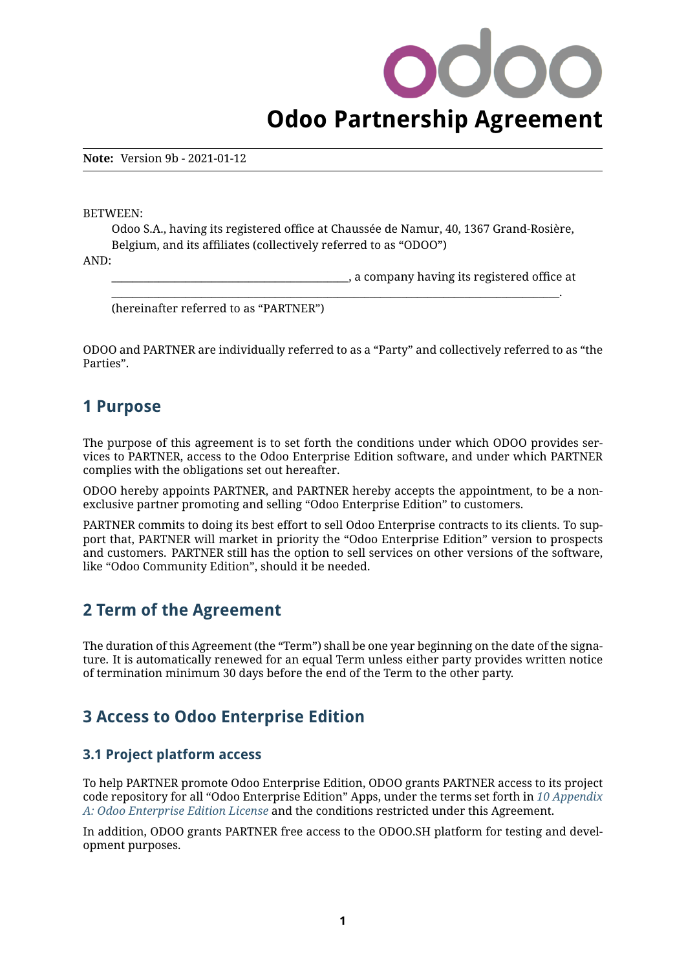# **Odoo Partnership Agreement**

**Note:** Version 9b - 2021-01-12

BETWEEN:

Odoo S.A., having its registered office at Chaussée de Namur, 40, 1367 Grand-Rosière, Belgium, and its affiliates (collectively referred to as "ODOO")

\_\_\_\_\_\_\_\_\_\_\_\_\_\_\_\_\_\_\_\_\_\_\_\_\_\_\_\_\_\_\_\_\_\_\_\_\_\_\_\_\_\_\_\_\_\_\_\_\_\_\_\_\_\_\_\_\_\_\_\_\_\_\_\_\_\_\_\_\_\_\_\_\_\_\_\_\_\_\_\_\_\_\_\_\_.

AND:

\_\_\_\_\_\_\_\_\_\_\_\_\_\_\_\_\_\_\_\_\_\_\_\_\_\_\_\_\_\_\_\_\_\_\_\_\_\_\_\_\_\_\_\_\_, a company having its registered office at

(hereinafter referred to as "PARTNER")

ODOO and PARTNER are individually referred to as a "Party" and collectively referred to as "the Parties".

### **1 Purpose**

The purpose of this agreement is to set forth the conditions under which ODOO provides services to PARTNER, access to the Odoo Enterprise Edition software, and under which PARTNER complies with the obligations set out hereafter.

ODOO hereby appoints PARTNER, and PARTNER hereby accepts the appointment, to be a nonexclusive partner promoting and selling "Odoo Enterprise Edition" to customers.

PARTNER commits to doing its best effort to sell Odoo Enterprise contracts to its clients. To support that, PARTNER will market in priority the "Odoo Enterprise Edition" version to prospects and customers. PARTNER still has the option to sell services on other versions of the software, like "Odoo Community Edition", should it be needed.

### **2 Term of the Agreement**

The duration of this Agreement (the "Term") shall be one year beginning on the date of the signature. It is automatically renewed for an equal Term unless either party provides written notice of termination minimum 30 days before the end of the Term to the other party.

### **3 Access to Odoo Enterprise Edition**

#### **3.1 Project platform access**

To help PARTNER promote Odoo Enterprise Edition, ODOO grants PARTNER access to its project code repository for all "Odoo Enterprise Edition" Apps, under the terms set forth in *[10 Appendix](#page-5-0) [A: Odoo Enterprise Edition License](#page-5-0)* and the conditions restricted under this Agreement.

In addition, ODOO grants PARTNER free access to the ODOO.SH platform for testing and development purposes.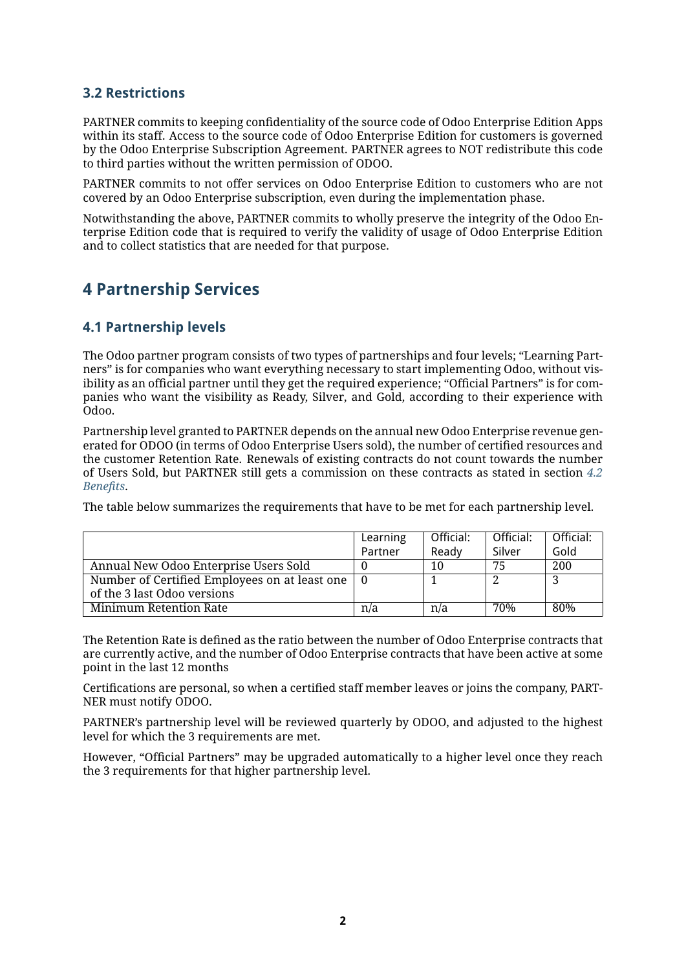#### <span id="page-1-0"></span>**3.2 Restrictions**

PARTNER commits to keeping confidentiality of the source code of Odoo Enterprise Edition Apps within its staff. Access to the source code of Odoo Enterprise Edition for customers is governed by the Odoo Enterprise Subscription Agreement. PARTNER agrees to NOT redistribute this code to third parties without the written permission of ODOO.

PARTNER commits to not offer services on Odoo Enterprise Edition to customers who are not covered by an Odoo Enterprise subscription, even during the implementation phase.

Notwithstanding the above, PARTNER commits to wholly preserve the integrity of the Odoo Enterprise Edition code that is required to verify the validity of usage of Odoo Enterprise Edition and to collect statistics that are needed for that purpose.

# **4 Partnership Services**

#### **4.1 Partnership levels**

The Odoo partner program consists of two types of partnerships and four levels; "Learning Partners" is for companies who want everything necessary to start implementing Odoo, without visibility as an official partner until they get the required experience; "Official Partners" is for companies who want the visibility as Ready, Silver, and Gold, according to their experience with Odoo.

Partnership level granted to PARTNER depends on the annual new Odoo Enterprise revenue generated for ODOO (in terms of Odoo Enterprise Users sold), the number of certified resources and the customer Retention Rate. Renewals of existing contracts do not count towards the number of Users Sold, but PARTNER still gets a commission on these contracts as stated in section *[4.2](#page-2-0) [Benefits](#page-2-0)*.

The table below summarizes the requirements that have to be met for each partnership level.

|                                               | Learning | Official: | Official: | Official: |
|-----------------------------------------------|----------|-----------|-----------|-----------|
|                                               | Partner  | Ready     | Silver    | Gold      |
| Annual New Odoo Enterprise Users Sold         |          | 10        | 75        | 200       |
| Number of Certified Employees on at least one | - 0      |           |           |           |
| of the 3 last Odoo versions                   |          |           |           |           |
| Minimum Retention Rate                        | n/a      | n/a       | 70%       | 80%       |

The Retention Rate is defined as the ratio between the number of Odoo Enterprise contracts that are currently active, and the number of Odoo Enterprise contracts that have been active at some point in the last 12 months

Certifications are personal, so when a certified staff member leaves or joins the company, PART-NER must notify ODOO.

PARTNER's partnership level will be reviewed quarterly by ODOO, and adjusted to the highest level for which the 3 requirements are met.

However, "Official Partners" may be upgraded automatically to a higher level once they reach the 3 requirements for that higher partnership level.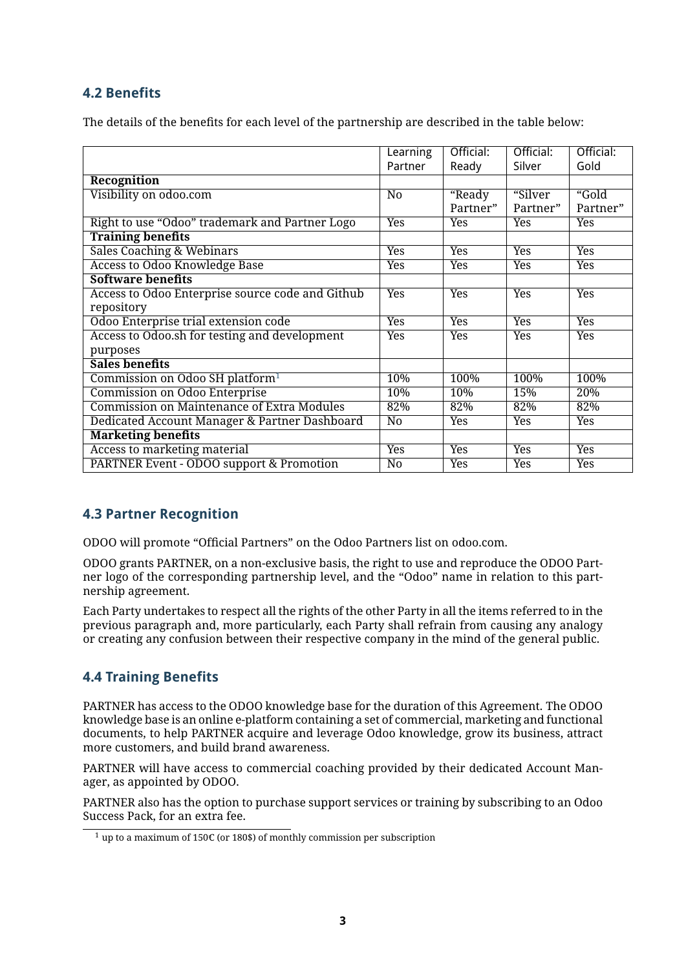### <span id="page-2-0"></span>**4.2 Benefits**

The details of the benefits for each level of the partnership are described in the table below:

|                                                   | Learning        | Official:  | Official:  | Official:  |
|---------------------------------------------------|-----------------|------------|------------|------------|
|                                                   | Partner         | Ready      | Silver     | Gold       |
| Recognition                                       |                 |            |            |            |
| Visibility on odoo.com                            | N <sub>0</sub>  | "Ready     | "Silver    | "Gold      |
|                                                   |                 | Partner"   | Partner"   | Partner"   |
| Right to use "Odoo" trademark and Partner Logo    | <b>Yes</b>      | Yes        | <b>Yes</b> | Yes        |
| <b>Training benefits</b>                          |                 |            |            |            |
| <b>Sales Coaching &amp; Webinars</b>              | <b>Yes</b>      | Yes        | Yes        | <b>Yes</b> |
| <b>Access to Odoo Knowledge Base</b>              | Yes             | Yes        | <b>Yes</b> | Yes        |
| <b>Software benefits</b>                          |                 |            |            |            |
| Access to Odoo Enterprise source code and Github  | <b>Yes</b>      | <b>Yes</b> | Yes        | <b>Yes</b> |
| repository                                        |                 |            |            |            |
| Odoo Enterprise trial extension code              | <b>Yes</b>      | Yes        | <b>Yes</b> | <b>Yes</b> |
| Access to Odoo.sh for testing and development     | <b>Yes</b>      | Yes        | Yes        | <b>Yes</b> |
| purposes                                          |                 |            |            |            |
| <b>Sales benefits</b>                             |                 |            |            |            |
| Commission on Odoo SH platform <sup>1</sup>       | 10%             | 100%       | 100%       | 100%       |
| Commission on Odoo Enterprise                     | 10%             | 10%        | 15%        | 20%        |
| <b>Commission on Maintenance of Extra Modules</b> | 82%             | 82%        | 82%        | 82%        |
| Dedicated Account Manager & Partner Dashboard     | $\overline{No}$ | Yes        | <b>Yes</b> | <b>Yes</b> |
| <b>Marketing benefits</b>                         |                 |            |            |            |
| Access to marketing material                      | Yes             | Yes        | <b>Yes</b> | <b>Yes</b> |
| PARTNER Event - ODOO support & Promotion          | No              | Yes        | Yes        | Yes        |

### **4.3 Partner Recognition**

ODOO will promote "Official Partners" on the Odoo Partners list on odoo.com.

ODOO grants PARTNER, on a non-exclusive basis, the right to use and reproduce the ODOO Partner logo of the corresponding partnership level, and the "Odoo" name in relation to this partnership agreement.

Each Party undertakes to respect all the rights of the other Party in all the items referred to in the previous paragraph and, more particularly, each Party shall refrain from causing any analogy or creating any confusion between their respective company in the mind of the general public.

### **4.4 Training Benefits**

PARTNER has access to the ODOO knowledge base for the duration of this Agreement. The ODOO knowledge base is an online e-platform containing a set of commercial, marketing and functional documents, to help PARTNER acquire and leverage Odoo knowledge, grow its business, attract more customers, and build brand awareness.

PARTNER will have access to commercial coaching provided by their dedicated Account Manager, as appointed by ODOO.

PARTNER also has the option to purchase support services or training by subscribing to an Odoo Success Pack, for an extra fee.

<span id="page-2-1"></span><sup>&</sup>lt;sup>1</sup> up to a maximum of 150 $\epsilon$  (or 180\$) of monthly commission per subscription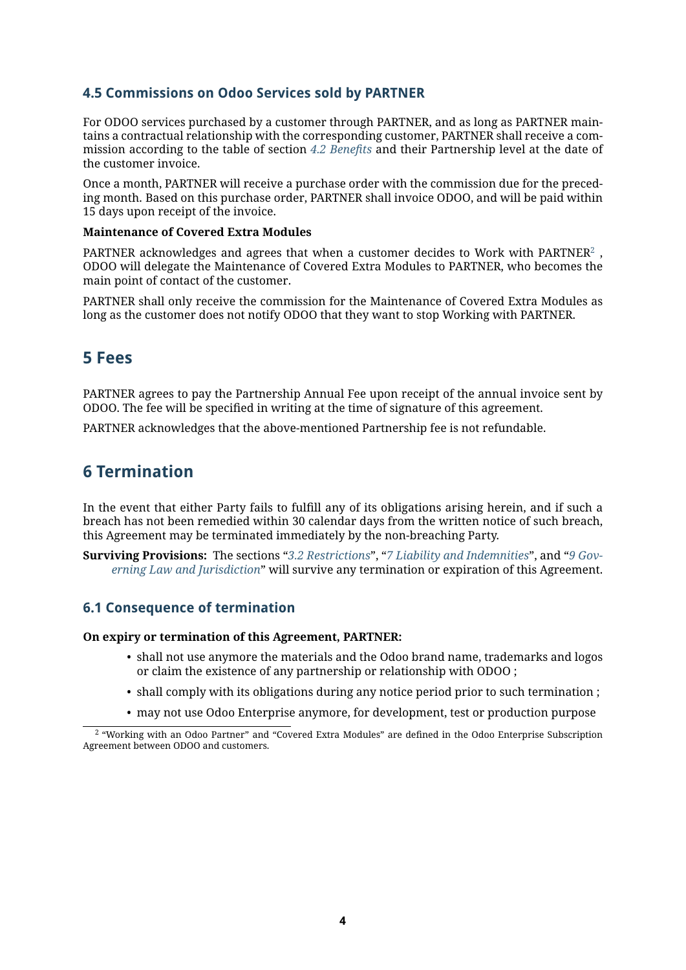#### **4.5 Commissions on Odoo Services sold by PARTNER**

For ODOO services purchased by a customer through PARTNER, and as long as PARTNER maintains a contractual relationship with the corresponding customer, PARTNER shall receive a commission according to the table of section *[4.2 Benefits](#page-2-0)* and their Partnership level at the date of the customer invoice.

Once a month, PARTNER will receive a purchase order with the commission due for the preceding month. Based on this purchase order, PARTNER shall invoice ODOO, and will be paid within 15 days upon receipt of the invoice.

#### **Maintenance of Covered Extra Modules**

PARTNER acknowledges and agrees that when a customer decides to Work with PARTNER $^2$  $^2$  , ODOO will delegate the Maintenance of Covered Extra Modules to PARTNER, who becomes the main point of contact of the customer.

PARTNER shall only receive the commission for the Maintenance of Covered Extra Modules as long as the customer does not notify ODOO that they want to stop Working with PARTNER.

### **5 Fees**

PARTNER agrees to pay the Partnership Annual Fee upon receipt of the annual invoice sent by ODOO. The fee will be specified in writing at the time of signature of this agreement.

PARTNER acknowledges that the above-mentioned Partnership fee is not refundable.

### **6 Termination**

In the event that either Party fails to fulfill any of its obligations arising herein, and if such a breach has not been remedied within 30 calendar days from the written notice of such breach, this Agreement may be terminated immediately by the non-breaching Party.

**Surviving Provisions:** The sections "*[3.2 Restrictions](#page-1-0)*", "*[7 Liability and Indemnities](#page-4-0)*", and "*[9 Gov](#page-5-1)[erning Law and Jurisdiction](#page-5-1)*" will survive any termination or expiration of this Agreement.

#### **6.1 Consequence of termination**

#### **On expiry or termination of this Agreement, PARTNER:**

- shall not use anymore the materials and the Odoo brand name, trademarks and logos or claim the existence of any partnership or relationship with ODOO ;
- shall comply with its obligations during any notice period prior to such termination ;
- may not use Odoo Enterprise anymore, for development, test or production purpose

<span id="page-3-0"></span><sup>2</sup> "Working with an Odoo Partner" and "Covered Extra Modules" are defined in the Odoo Enterprise Subscription Agreement between ODOO and customers.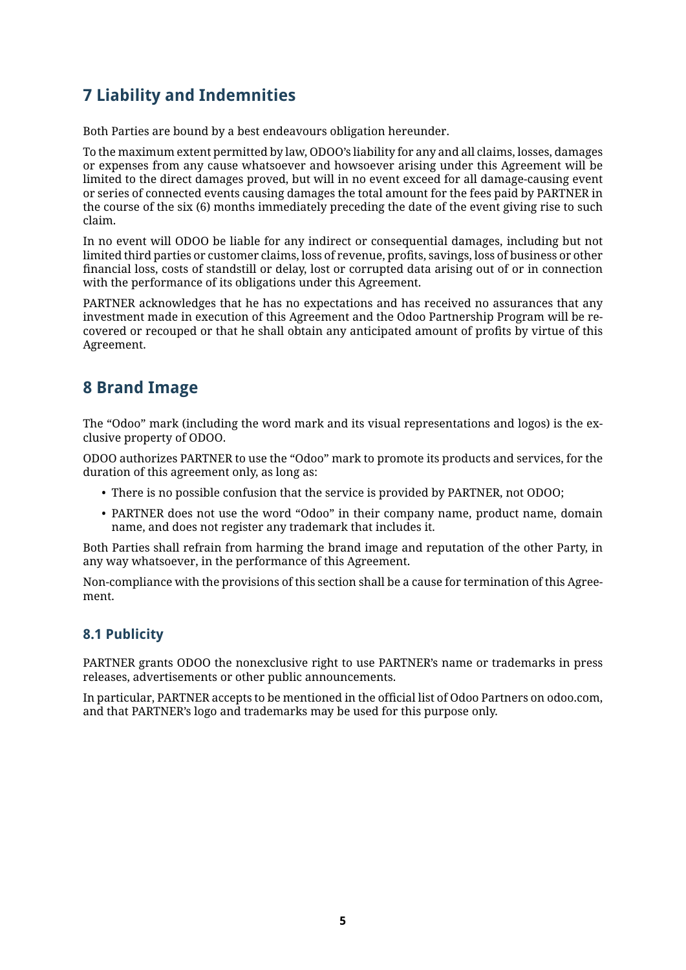# <span id="page-4-0"></span>**7 Liability and Indemnities**

Both Parties are bound by a best endeavours obligation hereunder.

To the maximum extent permitted by law, ODOO's liability for any and all claims, losses, damages or expenses from any cause whatsoever and howsoever arising under this Agreement will be limited to the direct damages proved, but will in no event exceed for all damage-causing event or series of connected events causing damages the total amount for the fees paid by PARTNER in the course of the six (6) months immediately preceding the date of the event giving rise to such claim.

In no event will ODOO be liable for any indirect or consequential damages, including but not limited third parties or customer claims, loss of revenue, profits, savings, loss of business or other financial loss, costs of standstill or delay, lost or corrupted data arising out of or in connection with the performance of its obligations under this Agreement.

PARTNER acknowledges that he has no expectations and has received no assurances that any investment made in execution of this Agreement and the Odoo Partnership Program will be recovered or recouped or that he shall obtain any anticipated amount of profits by virtue of this Agreement.

# **8 Brand Image**

The "Odoo" mark (including the word mark and its visual representations and logos) is the exclusive property of ODOO.

ODOO authorizes PARTNER to use the "Odoo" mark to promote its products and services, for the duration of this agreement only, as long as:

- There is no possible confusion that the service is provided by PARTNER, not ODOO;
- PARTNER does not use the word "Odoo" in their company name, product name, domain name, and does not register any trademark that includes it.

Both Parties shall refrain from harming the brand image and reputation of the other Party, in any way whatsoever, in the performance of this Agreement.

Non-compliance with the provisions of this section shall be a cause for termination of this Agreement.

#### **8.1 Publicity**

PARTNER grants ODOO the nonexclusive right to use PARTNER's name or trademarks in press releases, advertisements or other public announcements.

In particular, PARTNER accepts to be mentioned in the official list of Odoo Partners on odoo.com, and that PARTNER's logo and trademarks may be used for this purpose only.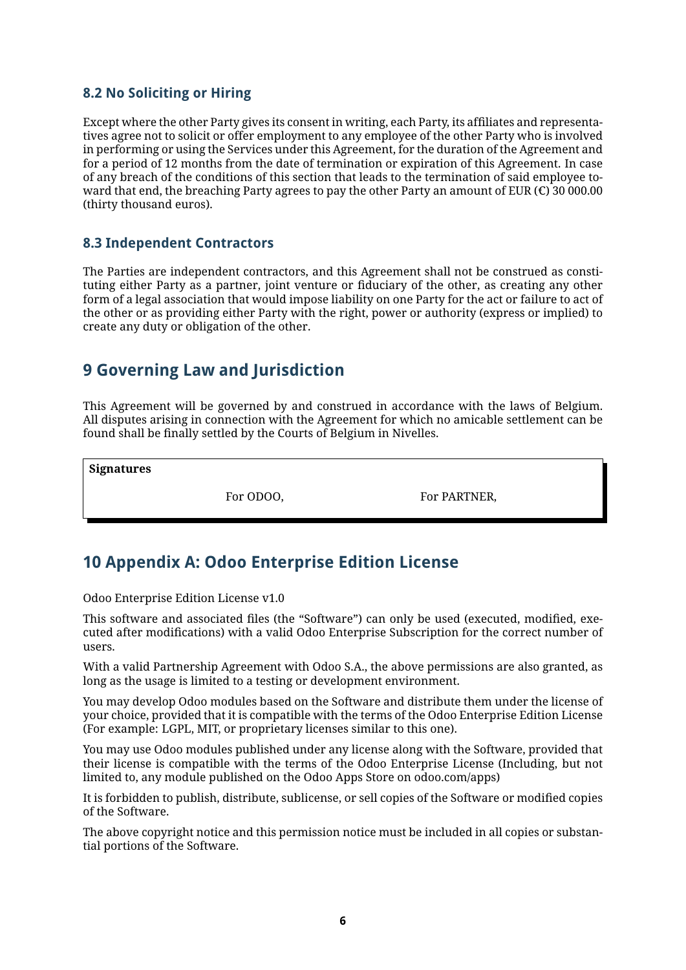### **8.2 No Soliciting or Hiring**

Except where the other Party gives its consent in writing, each Party, its affiliates and representatives agree not to solicit or offer employment to any employee of the other Party who is involved in performing or using the Services under this Agreement, for the duration of the Agreement and for a period of 12 months from the date of termination or expiration of this Agreement. In case of any breach of the conditions of this section that leads to the termination of said employee toward that end, the breaching Party agrees to pay the other Party an amount of EUR ( $\epsilon$ ) 30 000.00 (thirty thousand euros).

#### **8.3 Independent Contractors**

The Parties are independent contractors, and this Agreement shall not be construed as constituting either Party as a partner, joint venture or fiduciary of the other, as creating any other form of a legal association that would impose liability on one Party for the act or failure to act of the other or as providing either Party with the right, power or authority (express or implied) to create any duty or obligation of the other.

### <span id="page-5-1"></span>**9 Governing Law and Jurisdiction**

This Agreement will be governed by and construed in accordance with the laws of Belgium. All disputes arising in connection with the Agreement for which no amicable settlement can be found shall be finally settled by the Courts of Belgium in Nivelles.

**Signatures**

For ODOO, For PARTNER,

# <span id="page-5-0"></span>**10 Appendix A: Odoo Enterprise Edition License**

Odoo Enterprise Edition License v1.0

This software and associated files (the "Software") can only be used (executed, modified, executed after modifications) with a valid Odoo Enterprise Subscription for the correct number of users.

With a valid Partnership Agreement with Odoo S.A., the above permissions are also granted, as long as the usage is limited to a testing or development environment.

You may develop Odoo modules based on the Software and distribute them under the license of your choice, provided that it is compatible with the terms of the Odoo Enterprise Edition License (For example: LGPL, MIT, or proprietary licenses similar to this one).

You may use Odoo modules published under any license along with the Software, provided that their license is compatible with the terms of the Odoo Enterprise License (Including, but not limited to, any module published on the Odoo Apps Store on odoo.com/apps)

It is forbidden to publish, distribute, sublicense, or sell copies of the Software or modified copies of the Software.

The above copyright notice and this permission notice must be included in all copies or substantial portions of the Software.